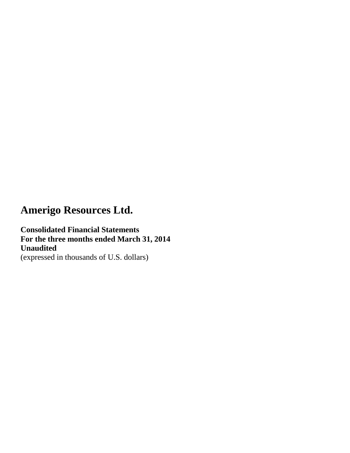**Consolidated Financial Statements For the three months ended March 31, 2014 Unaudited**  (expressed in thousands of U.S. dollars)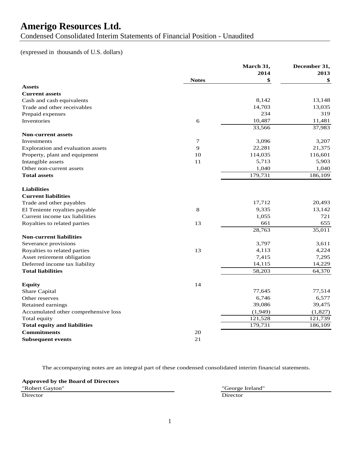Condensed Consolidated Interim Statements of Financial Position - Unaudited

## (expressed in thousands of U.S. dollars)

|                                      |              | March 31, | December 31, |
|--------------------------------------|--------------|-----------|--------------|
|                                      |              | 2014      | 2013         |
|                                      | <b>Notes</b> | \$        | \$           |
| <b>Assets</b>                        |              |           |              |
| <b>Current assets</b>                |              |           |              |
| Cash and cash equivalents            |              | 8,142     | 13,148       |
| Trade and other receivables          |              | 14,703    | 13,035       |
| Prepaid expenses                     |              | 234       | 319          |
| Inventories                          | 6            | 10,487    | 11,481       |
|                                      |              | 33,566    | 37,983       |
| <b>Non-current assets</b>            |              |           |              |
| Investments                          | $\tau$       | 3,096     | 3,207        |
| Exploration and evaluation assets    | 9            | 22,281    | 21,375       |
| Property, plant and equipment        | 10           | 114,035   | 116,601      |
| Intangible assets                    | 11           | 5,713     | 5,903        |
| Other non-current assets             |              | 1,040     | 1,040        |
| <b>Total assets</b>                  |              | 179,731   | 186,109      |
| <b>Liabilities</b>                   |              |           |              |
| <b>Current liabilities</b>           |              |           |              |
| Trade and other payables             |              | 17,712    | 20,493       |
| El Teniente royalties payable        | 8            | 9,335     | 13,142       |
| Current income tax liabilities       |              | 1,055     | 721          |
| Royalties to related parties         | 13           | 661       | 655          |
|                                      |              | 28,763    | 35,011       |
| <b>Non-current liabilities</b>       |              |           |              |
| Severance provisions                 |              | 3,797     | 3,611        |
| Royalties to related parties         | 13           | 4,113     | 4,224        |
| Asset retirement obligation          |              | 7,415     | 7,295        |
| Deferred income tax liability        |              | 14,115    | 14,229       |
| <b>Total liabilities</b>             |              | 58,203    | 64,370       |
| <b>Equity</b>                        | 14           |           |              |
| Share Capital                        |              | 77,645    | 77,514       |
| Other reserves                       |              | 6,746     | 6,577        |
| Retained earnings                    |              | 39,086    | 39,475       |
| Accumulated other comprehensive loss |              | (1,949)   | (1,827)      |
| Total equity                         |              | 121,528   | 121,739      |
| <b>Total equity and liabilities</b>  |              | 179,731   | 186,109      |
| <b>Commitments</b>                   | 20           |           |              |
| <b>Subsequent events</b>             | 21           |           |              |

The accompanying notes are an integral part of these condensed consolidated interim financial statements.

**Approved by the Board of Directors**

"Robert Gayton" "George Ireland" Director Director Director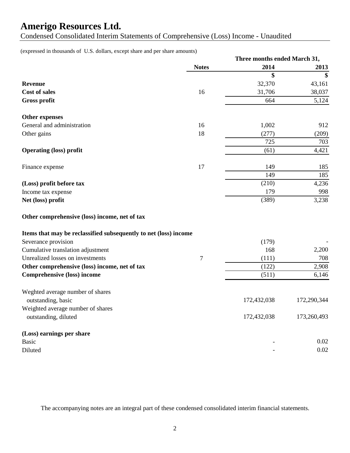Condensed Consolidated Interim Statements of Comprehensive (Loss) Income - Unaudited

(expressed in thousands of U.S. dollars, except share and per share amounts)

|                                                                  |              | Three months ended March 31, |             |
|------------------------------------------------------------------|--------------|------------------------------|-------------|
|                                                                  | <b>Notes</b> | 2014                         | 2013        |
|                                                                  |              | \$                           | \$          |
| <b>Revenue</b>                                                   |              | 32,370                       | 43,161      |
| <b>Cost of sales</b>                                             | 16           | 31,706                       | 38,037      |
| <b>Gross profit</b>                                              |              | 664                          | 5,124       |
| <b>Other expenses</b>                                            |              |                              |             |
| General and administration                                       | 16           | 1,002                        | 912         |
| Other gains                                                      | 18           | (277)                        | (209)       |
|                                                                  |              | 725                          | 703         |
| <b>Operating (loss) profit</b>                                   |              | (61)                         | 4,421       |
| Finance expense                                                  | 17           | 149                          | 185         |
|                                                                  |              | 149                          | 185         |
| (Loss) profit before tax                                         |              | (210)                        | 4,236       |
| Income tax expense                                               |              | 179                          | 998         |
| Net (loss) profit                                                |              | (389)                        | 3,238       |
| Other comprehensive (loss) income, net of tax                    |              |                              |             |
| Items that may be reclassified subsequently to net (loss) income |              |                              |             |
| Severance provision                                              |              | (179)                        |             |
| Cumulative translation adjustment                                |              | 168                          | 2,200       |
| Unrealized losses on investments                                 | 7            | (111)                        | 708         |
| Other comprehensive (loss) income, net of tax                    |              | (122)                        | 2,908       |
| <b>Comprehensive (loss) income</b>                               |              | (511)                        | 6,146       |
| Weghted average number of shares<br>outstanding, basic           |              | 172,432,038                  | 172,290,344 |
| Weighted average number of shares                                |              |                              |             |
| outstanding, diluted                                             |              | 172,432,038                  | 173,260,493 |
| (Loss) earnings per share                                        |              |                              |             |
| <b>Basic</b>                                                     |              |                              | 0.02        |
| Diluted                                                          |              |                              | 0.02        |

The accompanying notes are an integral part of these condensed consolidated interim financial statements.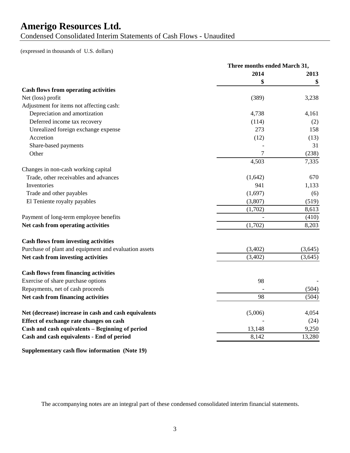Condensed Consolidated Interim Statements of Cash Flows - Unaudited

(expressed in thousands of U.S. dollars)

|                                                       | Three months ended March 31, |         |
|-------------------------------------------------------|------------------------------|---------|
|                                                       | 2014                         | 2013    |
|                                                       | \$                           | \$      |
| <b>Cash flows from operating activities</b>           |                              |         |
| Net (loss) profit                                     | (389)                        | 3,238   |
| Adjustment for items not affecting cash:              |                              |         |
| Depreciation and amortization                         | 4,738                        | 4,161   |
| Deferred income tax recovery                          | (114)                        | (2)     |
| Unrealized foreign exchange expense                   | 273                          | 158     |
| Accretion                                             | (12)                         | (13)    |
| Share-based payments                                  |                              | 31      |
| Other                                                 | 7                            | (238)   |
|                                                       | 4,503                        | 7,335   |
| Changes in non-cash working capital                   |                              |         |
| Trade, other receivables and advances                 | (1,642)                      | 670     |
| Inventories                                           | 941                          | 1,133   |
| Trade and other payables                              | (1,697)                      | (6)     |
| El Teniente royalty payables                          | (3,807)                      | (519)   |
|                                                       | (1,702)                      | 8,613   |
| Payment of long-term employee benefits                |                              | (410)   |
| Net cash from operating activities                    | (1,702)                      | 8,203   |
| <b>Cash flows from investing activities</b>           |                              |         |
| Purchase of plant and equipment and evaluation assets | (3,402)                      | (3,645) |
| Net cash from investing activities                    | (3,402)                      | (3,645) |
| <b>Cash flows from financing activities</b>           |                              |         |
| Exercise of share purchase options                    | 98                           |         |
| Repayments, net of cash proceeds                      |                              | (504)   |
| Net cash from financing activities                    | 98                           | (504)   |
| Net (decrease) increase in cash and cash equivalents  | (5,006)                      | 4,054   |
| Effect of exchange rate changes on cash               |                              | (24)    |
| Cash and cash equivalents - Beginning of period       | 13,148                       | 9,250   |
| Cash and cash equivalents - End of period             | 8,142                        | 13,280  |

**Supplementary cash flow information (Note 19)**

The accompanying notes are an integral part of these condensed consolidated interim financial statements.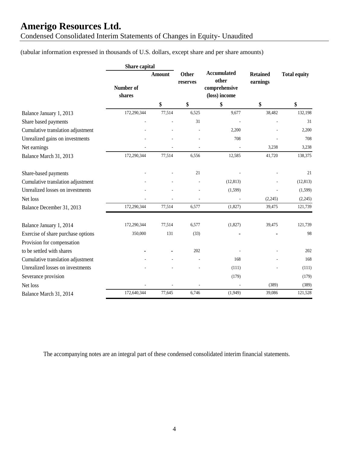Condensed Consolidated Interim Statements of Changes in Equity- Unaudited

## (tabular information expressed in thousands of U.S. dollars, except share and per share amounts)

|                                    | Share capital       |               |                          |                                                               |                             |                     |
|------------------------------------|---------------------|---------------|--------------------------|---------------------------------------------------------------|-----------------------------|---------------------|
|                                    | Number of<br>shares | <b>Amount</b> | <b>Other</b><br>reserves | <b>Accumulated</b><br>other<br>comprehensive<br>(loss) income | <b>Retained</b><br>earnings | <b>Total equity</b> |
|                                    |                     | \$            | \$                       | \$                                                            | \$                          | \$                  |
| Balance January 1, 2013            | 172,290,344         | 77,514        | 6,525                    | 9,677                                                         | 38,482                      | 132,198             |
| Share based payments               |                     |               | 31                       |                                                               |                             | 31                  |
| Cumulative translation adjustment  |                     |               |                          | 2,200                                                         |                             | 2,200               |
| Unrealized gains on investments    |                     |               |                          | 708                                                           |                             | 708                 |
| Net earnings                       |                     |               |                          |                                                               | 3,238                       | 3,238               |
| Balance March 31, 2013             | 172,290,344         | 77,514        | 6,556                    | 12,585                                                        | 41,720                      | 138,375             |
| Share-based payments               |                     |               | 21                       |                                                               |                             | 21                  |
| Cumulative translation adjustment  |                     |               |                          | (12, 813)                                                     |                             | (12, 813)           |
| Unrealized losses on investments   |                     |               |                          | (1, 599)                                                      |                             | (1, 599)            |
| Net loss                           |                     |               |                          |                                                               | (2,245)                     | (2,245)             |
| Balance December 31, 2013          | 172,290,344         | 77,514        | 6,577                    | (1,827)                                                       | 39,475                      | 121,739             |
| Balance January 1, 2014            | 172,290,344         | 77,514        | 6,577                    | (1,827)                                                       | 39,475                      | 121,739             |
| Exercise of share purchase options | 350,000             | 131           | (33)                     |                                                               |                             | 98                  |
| Provision for compensation         |                     |               |                          |                                                               |                             |                     |
| to be settled with shares          |                     |               | 202                      |                                                               |                             | 202                 |
| Cumulative translation adjustment  |                     |               |                          | 168                                                           |                             | 168                 |
| Unrealized losses on investments   |                     |               |                          | (111)                                                         |                             | (111)               |
| Severance provision                |                     |               |                          | (179)                                                         |                             | (179)               |
| Net loss                           |                     |               |                          |                                                               | (389)                       | (389)               |
| Balance March 31, 2014             | 172,640,344         | 77,645        | 6,746                    | (1,949)                                                       | 39,086                      | 121,528             |

The accompanying notes are an integral part of these condensed consolidated interim financial statements.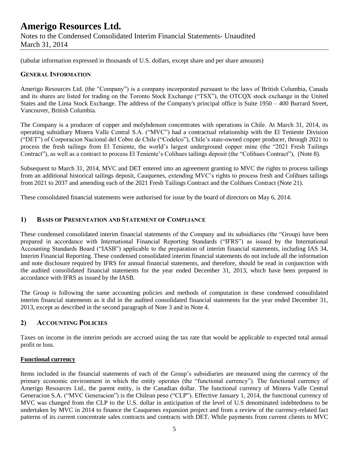## **Amerigo Resources Ltd.** Notes to the Condensed Consolidated Interim Financial Statements- Unaudited March 31, 2014

(tabular information expressed in thousands of U.S. dollars, except share and per share amounts)

### **GENERAL INFORMATION**

Amerigo Resources Ltd. (the "Company") is a company incorporated pursuant to the laws of British Columbia, Canada and its shares are listed for trading on the Toronto Stock Exchange ("TSX"), the OTCQX stock exchange in the United States and the Lima Stock Exchange. The address of the Company's principal office is Suite 1950 – 400 Burrard Street, Vancouver, British Columbia.

The Company is a producer of copper and molybdenum concentrates with operations in Chile. At March 31, 2014, its operating subsidiary Minera Valle Central S.A. ("MVC") had a contractual relationship with the El Teniente Division ("DET") of Corporacion Nacional del Cobre de Chile ("Codelco"), Chile's state-owned copper producer, through 2021 to process the fresh tailings from El Teniente, the world's largest underground copper mine (the "2021 Fresh Tailings Contract"), as well as a contract to process El Teniente's Colihues tailings deposit (the "Colihues Contract"), (Note 8).

Subsequent to March 31, 2014, MVC and DET entered into an agreement granting to MVC the rights to process tailings from an additional historical tailings deposit, Cauquenes, extending MVC's rights to process fresh and Colihues tailings from 2021 to 2037 and amending each of the 2021 Fresh Tailings Contract and the Colihues Contract (Note 21).

These consolidated financial statements were authorised for issue by the board of directors on May 6, 2014.

### **1) BASIS OF PRESENTATION AND STATEMENT OF COMPLIANCE**

These condensed consolidated interim financial statements of the Company and its subsidiaries (the "Group) have been prepared in accordance with International Financial Reporting Standards ("IFRS") as issued by the International Accounting Standards Board ("IASB") applicable to the preparation of interim financial statements, including IAS 34, Interim Financial Reporting. These condensed consolidated interim financial statements do not include all the information and note disclosure required by IFRS for annual financial statements, and therefore, should be read in conjunction with the audited consolidated financial statements for the year ended December 31, 2013, which have been prepared in accordance with IFRS as issued by the IASB.

The Group is following the same accounting policies and methods of computation in these condensed consolidated interim financial statements as it did in the audited consolidated financial statements for the year ended December 31, 2013, except as described in the second paragraph of Note 3 and in Note 4.

### **2) ACCOUNTING POLICIES**

Taxes on income in the interim periods are accrued using the tax rate that would be applicable to expected total annual profit or loss.

#### **Functional currency**

Items included in the financial statements of each of the Group's subsidiaries are measured using the currency of the primary economic environment in which the entity operates (the "functional currency"). The functional currency of Amerigo Resources Ltd., the parent entity, is the Canadian dollar. The functional currency of Minera Valle Central Generacion S.A. ("MVC Generacion") is the Chilean peso ("CLP"). Effective January 1, 2014, the functional currency of MVC was changed from the CLP to the U.S. dollar in anticipation of the level of U.S denominated indebtedness to be undertaken by MVC in 2014 to finance the Cauquenes expansion project and from a review of the currency-related fact patterns of its current concentrate sales contracts and contracts with DET. While payments from current clients to MVC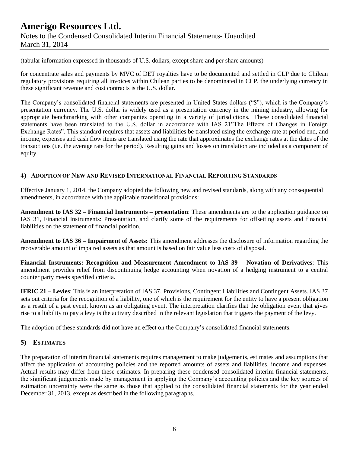## **Amerigo Resources Ltd.** Notes to the Condensed Consolidated Interim Financial Statements- Unaudited March 31, 2014

(tabular information expressed in thousands of U.S. dollars, except share and per share amounts)

for concentrate sales and payments by MVC of DET royalties have to be documented and settled in CLP due to Chilean regulatory provisions requiring all invoices within Chilean parties to be denominated in CLP, the underlying currency in these significant revenue and cost contracts is the U.S. dollar.

The Company's consolidated financial statements are presented in United States dollars ("\$"), which is the Company's presentation currency. The U.S. dollar is widely used as a presentation currency in the mining industry, allowing for appropriate benchmarking with other companies operating in a variety of jurisdictions. These consolidated financial statements have been translated to the U.S. dollar in accordance with IAS 21"The Effects of Changes in Foreign Exchange Rates". This standard requires that assets and liabilities be translated using the exchange rate at period end, and income, expenses and cash flow items are translated using the rate that approximates the exchange rates at the dates of the transactions (i.e. the average rate for the period). Resulting gains and losses on translation are included as a component of equity.

## **4) ADOPTION OF NEW AND REVISED INTERNATIONAL FINANCIAL REPORTING STANDARDS**

Effective January 1, 2014, the Company adopted the following new and revised standards, along with any consequential amendments, in accordance with the applicable transitional provisions:

**Amendment to IAS 32 – Financial Instruments – presentation**: These amendments are to the application guidance on IAS 31, Financial Instruments: Presentation, and clarify some of the requirements for offsetting assets and financial liabilities on the statement of financial position.

**Amendment to IAS 36 – Impairment of Assets:** This amendment addresses the disclosure of information regarding the recoverable amount of impaired assets as that amount is based on fair value less costs of disposal.

**Financial Instruments: Recognition and Measurement Amendment to IAS 39 – Novation of Derivatives**: This amendment provides relief from discontinuing hedge accounting when novation of a hedging instrument to a central counter party meets specified criteria.

**IFRIC 21 – Levies**: This is an interpretation of IAS 37, Provisions, Contingent Liabilities and Contingent Assets. IAS 37 sets out criteria for the recognition of a liability, one of which is the requirement for the entity to have a present obligation as a result of a past event, known as an obligating event. The interpretation clarifies that the obligation event that gives rise to a liability to pay a levy is the activity described in the relevant legislation that triggers the payment of the levy.

The adoption of these standards did not have an effect on the Company's consolidated financial statements.

### **5) ESTIMATES**

The preparation of interim financial statements requires management to make judgements, estimates and assumptions that affect the application of accounting policies and the reported amounts of assets and liabilities, income and expenses. Actual results may differ from these estimates. In preparing these condensed consolidated interim financial statements, the significant judgements made by management in applying the Company's accounting policies and the key sources of estimation uncertainty were the same as those that applied to the consolidated financial statements for the year ended December 31, 2013, except as described in the following paragraphs.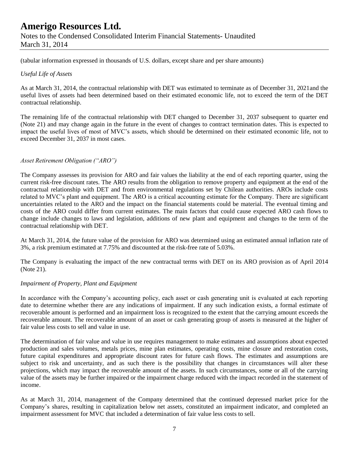Notes to the Condensed Consolidated Interim Financial Statements- Unaudited March 31, 2014

(tabular information expressed in thousands of U.S. dollars, except share and per share amounts)

### *Useful Life of Assets*

As at March 31, 2014, the contractual relationship with DET was estimated to terminate as of December 31, 2021and the useful lives of assets had been determined based on their estimated economic life, not to exceed the term of the DET contractual relationship.

The remaining life of the contractual relationship with DET changed to December 31, 2037 subsequent to quarter end (Note 21) and may change again in the future in the event of changes to contract termination dates. This is expected to impact the useful lives of most of MVC's assets, which should be determined on their estimated economic life, not to exceed December 31, 2037 in most cases.

### *Asset Retirement Obligation ("ARO")*

The Company assesses its provision for ARO and fair values the liability at the end of each reporting quarter, using the current risk-free discount rates. The ARO results from the obligation to remove property and equipment at the end of the contractual relationship with DET and from environmental regulations set by Chilean authorities. AROs include costs related to MVC's plant and equipment. The ARO is a critical accounting estimate for the Company. There are significant uncertainties related to the ARO and the impact on the financial statements could be material. The eventual timing and costs of the ARO could differ from current estimates. The main factors that could cause expected ARO cash flows to change include changes to laws and legislation, additions of new plant and equipment and changes to the term of the contractual relationship with DET.

At March 31, 2014, the future value of the provision for ARO was determined using an estimated annual inflation rate of 3%, a risk premium estimated at 7.75% and discounted at the risk-free rate of 5.03%.

The Company is evaluating the impact of the new contractual terms with DET on its ARO provision as of April 2014 (Note 21).

### *Impairment of Property, Plant and Equipment*

In accordance with the Company's accounting policy, each asset or cash generating unit is evaluated at each reporting date to determine whether there are any indications of impairment. If any such indication exists, a formal estimate of recoverable amount is performed and an impairment loss is recognized to the extent that the carrying amount exceeds the recoverable amount. The recoverable amount of an asset or cash generating group of assets is measured at the higher of fair value less costs to sell and value in use.

The determination of fair value and value in use requires management to make estimates and assumptions about expected production and sales volumes, metals prices, mine plan estimates, operating costs, mine closure and restoration costs, future capital expenditures and appropriate discount rates for future cash flows. The estimates and assumptions are subject to risk and uncertainty, and as such there is the possibility that changes in circumstances will alter these projections, which may impact the recoverable amount of the assets. In such circumstances, some or all of the carrying value of the assets may be further impaired or the impairment charge reduced with the impact recorded in the statement of income.

As at March 31, 2014, management of the Company determined that the continued depressed market price for the Company's shares, resulting in capitalization below net assets, constituted an impairment indicator, and completed an impairment assessment for MVC that included a determination of fair value less costs to sell.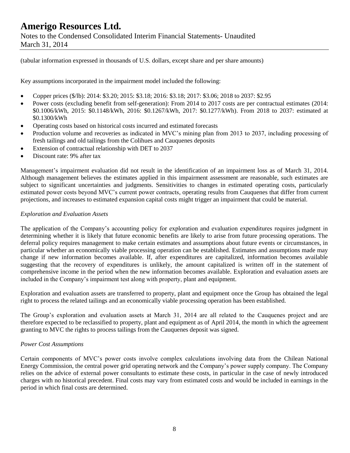Notes to the Condensed Consolidated Interim Financial Statements- Unaudited March 31, 2014

(tabular information expressed in thousands of U.S. dollars, except share and per share amounts)

Key assumptions incorporated in the impairment model included the following:

- Copper prices (\$/lb): 2014: \$3.20; 2015: \$3.18; 2016: \$3.18; 2017: \$3.06; 2018 to 2037: \$2.95
- Power costs (excluding benefit from self-generation): From 2014 to 2017 costs are per contractual estimates (2014: \$0.1006/kWh, 2015: \$0.1148/kWh, 2016: \$0.1267/kWh, 2017: \$0.1277/kWh). From 2018 to 2037: estimated at \$0.1300/kWh
- Operating costs based on historical costs incurred and estimated forecasts
- Production volume and recoveries as indicated in MVC's mining plan from 2013 to 2037, including processing of fresh tailings and old tailings from the Colihues and Cauquenes deposits
- Extension of contractual relationship with DET to 2037
- Discount rate: 9% after tax

Management's impairment evaluation did not result in the identification of an impairment loss as of March 31, 2014. Although management believes the estimates applied in this impairment assessment are reasonable, such estimates are subject to significant uncertainties and judgments. Sensitivities to changes in estimated operating costs, particularly estimated power costs beyond MVC's current power contracts, operating results from Cauquenes that differ from current projections, and increases to estimated expansion capital costs might trigger an impairment that could be material.

#### *Exploration and Evaluation Assets*

The application of the Company's accounting policy for exploration and evaluation expenditures requires judgment in determining whether it is likely that future economic benefits are likely to arise from future processing operations. The deferral policy requires management to make certain estimates and assumptions about future events or circumstances, in particular whether an economically viable processing operation can be established. Estimates and assumptions made may change if new information becomes available. If, after expenditures are capitalized, information becomes available suggesting that the recovery of expenditures is unlikely, the amount capitalized is written off in the statement of comprehensive income in the period when the new information becomes available. Exploration and evaluation assets are included in the Company's impairment test along with property, plant and equipment.

Exploration and evaluation assets are transferred to property, plant and equipment once the Group has obtained the legal right to process the related tailings and an economically viable processing operation has been established.

The Group's exploration and evaluation assets at March 31, 2014 are all related to the Cauquenes project and are therefore expected to be reclassified to property, plant and equipment as of April 2014, the month in which the agreement granting to MVC the rights to process tailings from the Cauquenes deposit was signed.

#### *Power Cost Assumptions*

Certain components of MVC's power costs involve complex calculations involving data from the Chilean National Energy Commission, the central power grid operating network and the Company's power supply company. The Company relies on the advice of external power consultants to estimate these costs, in particular in the case of newly introduced charges with no historical precedent. Final costs may vary from estimated costs and would be included in earnings in the period in which final costs are determined.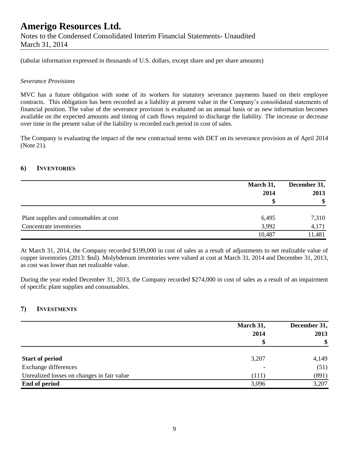Notes to the Condensed Consolidated Interim Financial Statements- Unaudited March 31, 2014

(tabular information expressed in thousands of U.S. dollars, except share and per share amounts)

#### *Severance Provisions*

MVC has a future obligation with some of its workers for statutory severance payments based on their employee contracts. This obligation has been recorded as a liability at present value in the Company's consolidated statements of financial position. The value of the severance provision is evaluated on an annual basis or as new information becomes available on the expected amounts and timing of cash flows required to discharge the liability. The increase or decrease over time in the present value of the liability is recorded each period in cost of sales.

The Company is evaluating the impact of the new contractual terms with DET on its severance provision as of April 2014 (Note 21).

### **6) INVENTORIES**

|                                        | March 31, |             |
|----------------------------------------|-----------|-------------|
|                                        | 2014<br>S | 2013<br>-\$ |
|                                        |           |             |
| Plant supplies and consumables at cost | 6,495     | 7,310       |
| Concentrate inventories                | 3,992     | 4,171       |
|                                        | 10,487    | 11,481      |

At March 31, 2014, the Company recorded \$199,000 in cost of sales as a result of adjustments to net realizable value of copper inventories (2013: \$nil). Molybdenum inventories were valued at cost at March 31, 2014 and December 31, 2013, as cost was lower than net realizable value.

During the year ended December 31, 2013, the Company recorded \$274,000 in cost of sales as a result of an impairment of specific plant supplies and consumables.

## **7) INVESTMENTS**

|                                            | March 31, | December 31,<br>2013<br>\$ |
|--------------------------------------------|-----------|----------------------------|
|                                            | 2014      |                            |
|                                            |           |                            |
| <b>Start of period</b>                     | 3,207     | 4,149                      |
| Exchange differences                       |           | (51)                       |
| Unrealized losses on changes in fair value | (111)     | (891)                      |
| End of period                              | 3,096     | 3,207                      |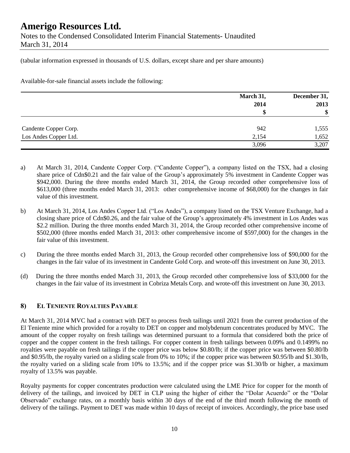## **Amerigo Resources Ltd.** Notes to the Condensed Consolidated Interim Financial Statements- Unaudited

March 31, 2014

(tabular information expressed in thousands of U.S. dollars, except share and per share amounts)

Available-for-sale financial assets include the following:

|                       | March 31, | December 31,<br>2013<br>$\boldsymbol{\$}$ |
|-----------------------|-----------|-------------------------------------------|
|                       | 2014<br>S |                                           |
|                       |           |                                           |
| Candente Copper Corp. | 942       | 1,555                                     |
| Los Andes Copper Ltd. | 2,154     | 1,652                                     |
|                       | 3,096     | 3,207                                     |

- a) At March 31, 2014, Candente Copper Corp. ("Candente Copper"), a company listed on the TSX, had a closing share price of Cdn\$0.21 and the fair value of the Group's approximately 5% investment in Candente Copper was \$942,000. During the three months ended March 31, 2014, the Group recorded other comprehensive loss of \$613,000 (three months ended March 31, 2013: other comprehensive income of \$68,000) for the changes in fair value of this investment.
- b) At March 31, 2014, Los Andes Copper Ltd. ("Los Andes"), a company listed on the TSX Venture Exchange, had a closing share price of Cdn\$0.26, and the fair value of the Group's approximately 4% investment in Los Andes was \$2.2 million. During the three months ended March 31, 2014, the Group recorded other comprehensive income of \$502,000 (three months ended March 31, 2013: other comprehensive income of \$597,000) for the changes in the fair value of this investment.
- c) During the three months ended March 31, 2013, the Group recorded other comprehensive loss of \$90,000 for the changes in the fair value of its investment in Candente Gold Corp. and wrote-off this investment on June 30, 2013.
- (d) During the three months ended March 31, 2013, the Group recorded other comprehensive loss of \$33,000 for the changes in the fair value of its investment in Cobriza Metals Corp. and wrote-off this investment on June 30, 2013.

## **8) EL TENIENTE ROYALTIES PAYABLE**

At March 31, 2014 MVC had a contract with DET to process fresh tailings until 2021 from the current production of the El Teniente mine which provided for a royalty to DET on copper and molybdenum concentrates produced by MVC. The amount of the copper royalty on fresh tailings was determined pursuant to a formula that considered both the price of copper and the copper content in the fresh tailings. For copper content in fresh tailings between 0.09% and 0.1499% no royalties were payable on fresh tailings if the copper price was below \$0.80/lb; if the copper price was between \$0.80/lb and \$0.95/lb, the royalty varied on a sliding scale from 0% to 10%; if the copper price was between \$0.95/lb and \$1.30/lb, the royalty varied on a sliding scale from 10% to 13.5%; and if the copper price was \$1.30/lb or higher, a maximum royalty of 13.5% was payable.

Royalty payments for copper concentrates production were calculated using the LME Price for copper for the month of delivery of the tailings, and invoiced by DET in CLP using the higher of either the "Dolar Acuerdo" or the "Dolar Observado" exchange rates, on a monthly basis within 30 days of the end of the third month following the month of delivery of the tailings. Payment to DET was made within 10 days of receipt of invoices. Accordingly, the price base used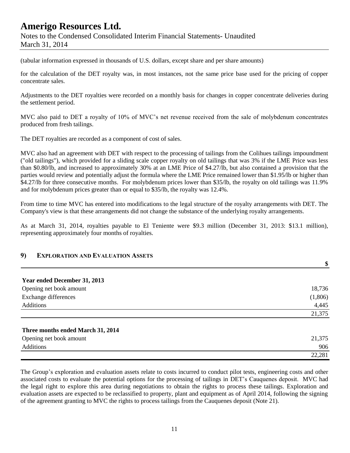Notes to the Condensed Consolidated Interim Financial Statements- Unaudited March 31, 2014

(tabular information expressed in thousands of U.S. dollars, except share and per share amounts)

for the calculation of the DET royalty was, in most instances, not the same price base used for the pricing of copper concentrate sales.

Adjustments to the DET royalties were recorded on a monthly basis for changes in copper concentrate deliveries during the settlement period.

MVC also paid to DET a royalty of 10% of MVC's net revenue received from the sale of molybdenum concentrates produced from fresh tailings.

The DET royalties are recorded as a component of cost of sales.

MVC also had an agreement with DET with respect to the processing of tailings from the Colihues tailings impoundment ("old tailings"), which provided for a sliding scale copper royalty on old tailings that was 3% if the LME Price was less than \$0.80/lb, and increased to approximately 30% at an LME Price of \$4.27/lb, but also contained a provision that the parties would review and potentially adjust the formula where the LME Price remained lower than \$1.95/lb or higher than \$4.27/lb for three consecutive months. For molybdenum prices lower than \$35/lb, the royalty on old tailings was 11.9% and for molybdenum prices greater than or equal to \$35/lb, the royalty was 12.4%.

From time to time MVC has entered into modifications to the legal structure of the royalty arrangements with DET. The Company's view is that these arrangements did not change the substance of the underlying royalty arrangements.

As at March 31, 2014, royalties payable to El Teniente were \$9.3 million (December 31, 2013: \$13.1 million), representing approximately four months of royalties.

### **9) EXPLORATION AND EVALUATION ASSETS**

|                                   | \$      |
|-----------------------------------|---------|
| Year ended December 31, 2013      |         |
| Opening net book amount           | 18,736  |
| Exchange differences              | (1,806) |
| Additions                         | 4,445   |
|                                   | 21,375  |
| Three months ended March 31, 2014 |         |
| Opening net book amount           | 21,375  |
| Additions                         | 906     |
|                                   | 22,281  |

The Group's exploration and evaluation assets relate to costs incurred to conduct pilot tests, engineering costs and other associated costs to evaluate the potential options for the processing of tailings in DET's Cauquenes deposit. MVC had the legal right to explore this area during negotiations to obtain the rights to process these tailings. Exploration and evaluation assets are expected to be reclassified to property, plant and equipment as of April 2014, following the signing of the agreement granting to MVC the rights to process tailings from the Cauquenes deposit (Note 21).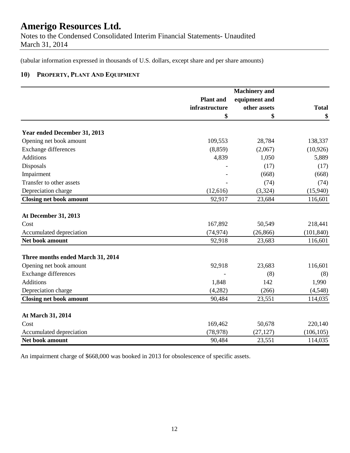Notes to the Condensed Consolidated Interim Financial Statements- Unaudited March 31, 2014

(tabular information expressed in thousands of U.S. dollars, except share and per share amounts)

## **10) PROPERTY, PLANT AND EQUIPMENT**

|                                   | <b>Machinery</b> and |               |              |  |
|-----------------------------------|----------------------|---------------|--------------|--|
|                                   | <b>Plant</b> and     | equipment and |              |  |
|                                   | infrastructure       | other assets  | <b>Total</b> |  |
|                                   | \$                   | \$            | \$           |  |
| Year ended December 31, 2013      |                      |               |              |  |
| Opening net book amount           | 109,553              | 28,784        | 138,337      |  |
| Exchange differences              | (8, 859)             | (2,067)       | (10, 926)    |  |
| <b>Additions</b>                  | 4,839                | 1,050         | 5,889        |  |
| Disposals                         |                      | (17)          | (17)         |  |
| Impairment                        |                      | (668)         | (668)        |  |
| Transfer to other assets          |                      | (74)          | (74)         |  |
| Depreciation charge               | (12,616)             | (3, 324)      | (15,940)     |  |
| <b>Closing net book amount</b>    | 92,917               | 23,684        | 116,601      |  |
|                                   |                      |               |              |  |
| <b>At December 31, 2013</b>       |                      |               |              |  |
| Cost                              | 167,892              | 50,549        | 218,441      |  |
| Accumulated depreciation          | (74, 974)            | (26, 866)     | (101, 840)   |  |
| Net book amount                   | 92,918               | 23,683        | 116,601      |  |
| Three months ended March 31, 2014 |                      |               |              |  |
| Opening net book amount           | 92,918               | 23,683        | 116,601      |  |
| Exchange differences              |                      | (8)           | (8)          |  |
| <b>Additions</b>                  | 1,848                | 142           | 1,990        |  |
| Depreciation charge               | (4,282)              | (266)         | (4,548)      |  |
| <b>Closing net book amount</b>    | 90,484               | 23,551        | 114,035      |  |
|                                   |                      |               |              |  |
| At March 31, 2014                 |                      |               |              |  |
| Cost                              | 169,462              | 50,678        | 220,140      |  |
| Accumulated depreciation          | (78, 978)            | (27, 127)     | (106, 105)   |  |
| Net book amount                   | 90,484               | 23,551        | 114,035      |  |

An impairment charge of \$668,000 was booked in 2013 for obsolescence of specific assets.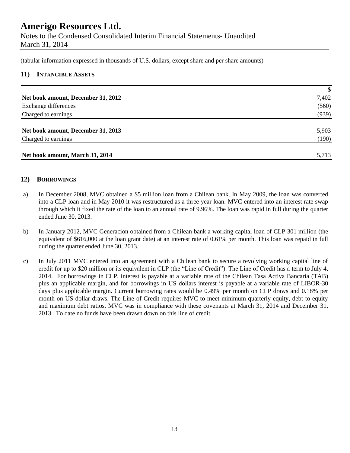Notes to the Condensed Consolidated Interim Financial Statements- Unaudited March 31, 2014

(tabular information expressed in thousands of U.S. dollars, except share and per share amounts)

### **11) INTANGIBLE ASSETS**

|                                    | \$    |
|------------------------------------|-------|
| Net book amount, December 31, 2012 | 7,402 |
| Exchange differences               | (560) |
| Charged to earnings                | (939) |
|                                    |       |
| Net book amount, December 31, 2013 | 5,903 |
| Charged to earnings                | (190) |
|                                    |       |
| Net book amount, March 31, 2014    | 5,713 |

### **12) BORROWINGS**

- a) In December 2008, MVC obtained a \$5 million loan from a Chilean bank. In May 2009, the loan was converted into a CLP loan and in May 2010 it was restructured as a three year loan. MVC entered into an interest rate swap through which it fixed the rate of the loan to an annual rate of 9.96%. The loan was rapid in full during the quarter ended June 30, 2013.
- b) In January 2012, MVC Generacion obtained from a Chilean bank a working capital loan of CLP 301 million (the equivalent of \$616,000 at the loan grant date) at an interest rate of 0.61% per month. This loan was repaid in full during the quarter ended June 30, 2013.
- c) In July 2011 MVC entered into an agreement with a Chilean bank to secure a revolving working capital line of credit for up to \$20 million or its equivalent in CLP (the "Line of Credit"). The Line of Credit has a term to July 4, 2014. For borrowings in CLP, interest is payable at a variable rate of the Chilean Tasa Activa Bancaria (TAB) plus an applicable margin, and for borrowings in US dollars interest is payable at a variable rate of LIBOR-30 days plus applicable margin. Current borrowing rates would be 0.49% per month on CLP draws and 0.18% per month on US dollar draws. The Line of Credit requires MVC to meet minimum quarterly equity, debt to equity and maximum debt ratios. MVC was in compliance with these covenants at March 31, 2014 and December 31, 2013. To date no funds have been drawn down on this line of credit.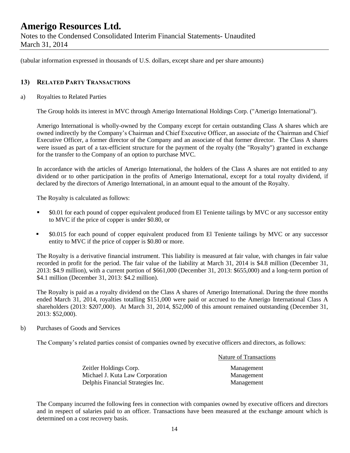Notes to the Condensed Consolidated Interim Financial Statements- Unaudited March 31, 2014

(tabular information expressed in thousands of U.S. dollars, except share and per share amounts)

### **13) RELATED PARTY TRANSACTIONS**

a) Royalties to Related Parties

The Group holds its interest in MVC through Amerigo International Holdings Corp. ("Amerigo International").

Amerigo International is wholly-owned by the Company except for certain outstanding Class A shares which are owned indirectly by the Company's Chairman and Chief Executive Officer, an associate of the Chairman and Chief Executive Officer, a former director of the Company and an associate of that former director. The Class A shares were issued as part of a tax-efficient structure for the payment of the royalty (the "Royalty") granted in exchange for the transfer to the Company of an option to purchase MVC.

In accordance with the articles of Amerigo International, the holders of the Class A shares are not entitled to any dividend or to other participation in the profits of Amerigo International, except for a total royalty dividend, if declared by the directors of Amerigo International, in an amount equal to the amount of the Royalty.

The Royalty is calculated as follows:

- \$0.01 for each pound of copper equivalent produced from El Teniente tailings by MVC or any successor entity to MVC if the price of copper is under \$0.80, or
- \$0.015 for each pound of copper equivalent produced from El Teniente tailings by MVC or any successor entity to MVC if the price of copper is \$0.80 or more.

The Royalty is a derivative financial instrument. This liability is measured at fair value, with changes in fair value recorded in profit for the period. The fair value of the liability at March 31, 2014 is \$4.8 million (December 31, 2013: \$4.9 million), with a current portion of \$661,000 (December 31, 2013: \$655,000) and a long-term portion of \$4.1 million (December 31, 2013: \$4.2 million).

The Royalty is paid as a royalty dividend on the Class A shares of Amerigo International. During the three months ended March 31, 2014, royalties totalling \$151,000 were paid or accrued to the Amerigo International Class A shareholders (2013: \$207,000). At March 31, 2014, \$52,000 of this amount remained outstanding (December 31, 2013: \$52,000).

b) Purchases of Goods and Services

The Company's related parties consist of companies owned by executive officers and directors, as follows:

| Zeitler Holdings Corp.            | Management |
|-----------------------------------|------------|
| Michael J. Kuta Law Corporation   | Management |
| Delphis Financial Strategies Inc. | Management |

Nature of Transactions

The Company incurred the following fees in connection with companies owned by executive officers and directors and in respect of salaries paid to an officer. Transactions have been measured at the exchange amount which is determined on a cost recovery basis.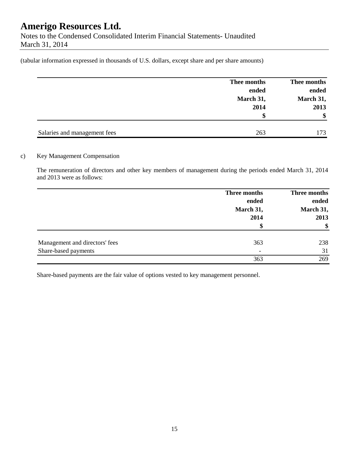Notes to the Condensed Consolidated Interim Financial Statements- Unaudited March 31, 2014

(tabular information expressed in thousands of U.S. dollars, except share and per share amounts)

|                              | Thee months | Thee months |
|------------------------------|-------------|-------------|
|                              | ended       | ended       |
|                              | March 31,   | March 31,   |
|                              | 2014        | 2013        |
|                              | \$          | \$          |
| Salaries and management fees | 263         | 173         |

### c) Key Management Compensation

The remuneration of directors and other key members of management during the periods ended March 31, 2014 and 2013 were as follows:

|                                | Three months<br>ended    | Three months<br>ended |  |
|--------------------------------|--------------------------|-----------------------|--|
|                                | March 31,                | March 31,             |  |
|                                | 2014                     | 2013                  |  |
|                                | \$                       | \$                    |  |
| Management and directors' fees | 363                      | 238                   |  |
| Share-based payments           | $\overline{\phantom{0}}$ | 31                    |  |
|                                | 363                      | 269                   |  |

Share-based payments are the fair value of options vested to key management personnel.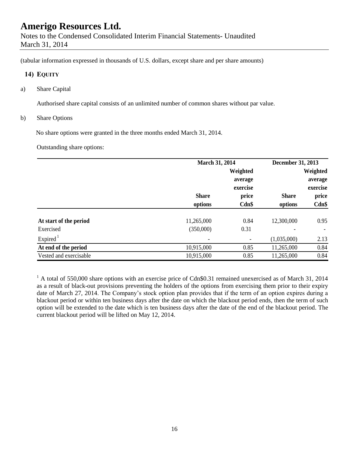Notes to the Condensed Consolidated Interim Financial Statements- Unaudited March 31, 2014

(tabular information expressed in thousands of U.S. dollars, except share and per share amounts)

### **14) EQUITY**

a) Share Capital

Authorised share capital consists of an unlimited number of common shares without par value.

b) Share Options

No share options were granted in the three months ended March 31, 2014.

Outstanding share options:

|                        |              | March 31, 2014 |              | December 31, 2013 |  |
|------------------------|--------------|----------------|--------------|-------------------|--|
|                        |              | Weighted       |              | Weighted          |  |
|                        |              | average        |              | average           |  |
|                        |              | exercise       |              | exercise          |  |
|                        | <b>Share</b> | price          | <b>Share</b> | price             |  |
|                        | options      | $Cdn$ \$       | options      | $Cdn$ \$          |  |
| At start of the period | 11,265,000   | 0.84           | 12,300,000   | 0.95              |  |
| Exercised              | (350,000)    | 0.31           |              |                   |  |
| Expired $1$            |              |                | (1,035,000)  | 2.13              |  |
| At end of the period   | 10,915,000   | 0.85           | 11,265,000   | 0.84              |  |
| Vested and exercisable | 10,915,000   | 0.85           | 11,265,000   | 0.84              |  |

<sup>1</sup> A total of 550,000 share options with an exercise price of Cdn\$0.31 remained unexercised as of March 31, 2014 as a result of black-out provisions preventing the holders of the options from exercising them prior to their expiry date of March 27, 2014. The Company's stock option plan provides that if the term of an option expires during a blackout period or within ten business days after the date on which the blackout period ends, then the term of such option will be extended to the date which is ten business days after the date of the end of the blackout period. The current blackout period will be lifted on May 12, 2014.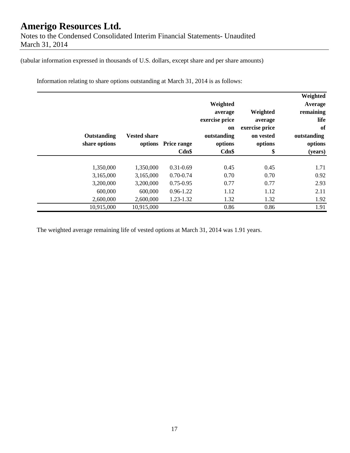Notes to the Condensed Consolidated Interim Financial Statements- Unaudited March 31, 2014

(tabular information expressed in thousands of U.S. dollars, except share and per share amounts)

Information relating to share options outstanding at March 31, 2014 is as follows:

| Weighted<br>Average<br>remaining<br>life<br>of<br>outstanding<br>options<br>(years) | Weighted<br>average<br>exercise price<br>on vested<br>options<br>\$ | Weighted<br>average<br>exercise price<br>on<br>outstanding<br>options<br>$Cdn$ \$ | <b>Price range</b><br>Cdn\$ | <b>Vested share</b><br>options | Outstanding<br>share options |
|-------------------------------------------------------------------------------------|---------------------------------------------------------------------|-----------------------------------------------------------------------------------|-----------------------------|--------------------------------|------------------------------|
| 1.71                                                                                | 0.45                                                                | 0.45                                                                              | $0.31 - 0.69$               | 1,350,000                      | 1,350,000                    |
| 0.92                                                                                | 0.70                                                                | 0.70                                                                              | $0.70 - 0.74$               | 3,165,000                      | 3,165,000                    |
| 2.93                                                                                | 0.77                                                                | 0.77                                                                              | $0.75 - 0.95$               | 3,200,000                      | 3,200,000                    |
| 2.11                                                                                | 1.12                                                                | 1.12                                                                              | $0.96 - 1.22$               | 600,000                        | 600,000                      |
| 1.92                                                                                | 1.32                                                                | 1.32                                                                              | 1.23-1.32                   | 2,600,000                      | 2,600,000                    |
| 1.91                                                                                | 0.86                                                                | 0.86                                                                              |                             | 10,915,000                     | 10,915,000                   |

The weighted average remaining life of vested options at March 31, 2014 was 1.91 years.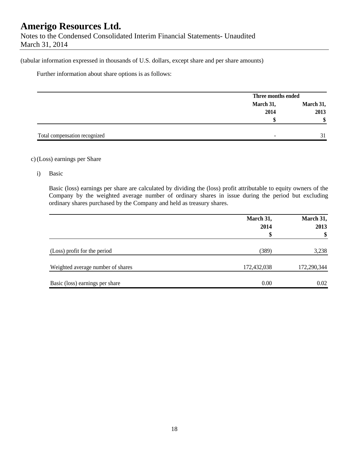Notes to the Condensed Consolidated Interim Financial Statements- Unaudited March 31, 2014

(tabular information expressed in thousands of U.S. dollars, except share and per share amounts)

Further information about share options is as follows:

|                               |                          | Three months ended |  |
|-------------------------------|--------------------------|--------------------|--|
|                               | March 31,                | March 31,          |  |
|                               | 2014                     | 2013               |  |
|                               |                          |                    |  |
|                               |                          |                    |  |
| Total compensation recognized | $\overline{\phantom{0}}$ |                    |  |

#### c)(Loss) earnings per Share

i) Basic

Basic (loss) earnings per share are calculated by dividing the (loss) profit attributable to equity owners of the Company by the weighted average number of ordinary shares in issue during the period but excluding ordinary shares purchased by the Company and held as treasury shares.

|                                   | March 31,   | March 31,   |
|-----------------------------------|-------------|-------------|
|                                   | 2014        | 2013        |
|                                   | \$          | \$          |
| (Loss) profit for the period      | (389)       | 3,238       |
| Weighted average number of shares | 172,432,038 | 172,290,344 |
| Basic (loss) earnings per share   | 0.00        | 0.02        |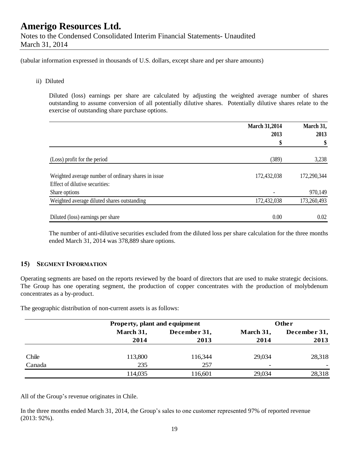(tabular information expressed in thousands of U.S. dollars, except share and per share amounts)

### ii) Diluted

Diluted (loss) earnings per share are calculated by adjusting the weighted average number of shares outstanding to assume conversion of all potentially dilutive shares. Potentially dilutive shares relate to the exercise of outstanding share purchase options.

|                                                     | <b>March 31,2014</b> | March 31,<br>2013 |  |
|-----------------------------------------------------|----------------------|-------------------|--|
|                                                     | 2013                 |                   |  |
|                                                     | \$                   | \$                |  |
| (Loss) profit for the period                        | (389)                | 3,238             |  |
| Weighted average number of ordinary shares in issue | 172,432,038          | 172,290,344       |  |
| Effect of dilutive securities:                      |                      |                   |  |
| Share options                                       |                      | 970,149           |  |
| Weighted average diluted shares outstanding         | 172,432,038          | 173,260,493       |  |
| Diluted (loss) earnings per share                   | 0.00                 | 0.02              |  |

The number of anti-dilutive securities excluded from the diluted loss per share calculation for the three months ended March 31, 2014 was 378,889 share options.

### **15) SEGMENT INFORMATION**

Operating segments are based on the reports reviewed by the board of directors that are used to make strategic decisions. The Group has one operating segment, the production of copper concentrates with the production of molybdenum concentrates as a by-product.

The geographic distribution of non-current assets is as follows:

|        |           | Property, plant and equipment |           | Other        |  |  |
|--------|-----------|-------------------------------|-----------|--------------|--|--|
|        | March 31, | December 31,                  | March 31, | December 31, |  |  |
|        | 2014      | 2013                          | 2014      | 2013         |  |  |
|        |           |                               |           |              |  |  |
| Chile  | 113,800   | 116,344                       | 29,034    | 28,318       |  |  |
| Canada | 235       | 257                           |           |              |  |  |
|        | 114,035   | 116,601                       | 29,034    | 28,318       |  |  |

All of the Group's revenue originates in Chile.

In the three months ended March 31, 2014, the Group's sales to one customer represented 97% of reported revenue (2013: 92%).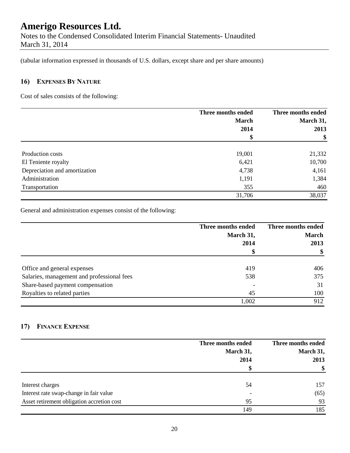Notes to the Condensed Consolidated Interim Financial Statements- Unaudited March 31, 2014

(tabular information expressed in thousands of U.S. dollars, except share and per share amounts)

## **16) EXPENSES BY NATURE**

Cost of sales consists of the following:

|                               | Three months ended | Three months ended |
|-------------------------------|--------------------|--------------------|
|                               | <b>March</b>       | March 31,          |
|                               | 2014               | 2013               |
|                               | \$                 | \$                 |
| Production costs              | 19,001             | 21,332             |
| El Teniente royalty           | 6,421              | 10,700             |
| Depreciation and amortization | 4,738              | 4,161              |
| Administration                | 1,191              | 1,384              |
| Transportation                | 355                | 460                |
|                               | 31,706             | 38,037             |

General and administration expenses consist of the following:

|                                            | Three months ended | Three months ended |
|--------------------------------------------|--------------------|--------------------|
|                                            | March 31,          | <b>March</b>       |
|                                            | 2014               | 2013               |
|                                            | \$                 | \$                 |
| Office and general expenses                | 419                | 406                |
| Salaries, management and professional fees | 538                | 375                |
| Share-based payment compensation           |                    | 31                 |
| Royalties to related parties               | 45                 | 100                |
|                                            | 1,002              | 912                |

## **17) FINANCE EXPENSE**

|                                            | Three months ended<br>March 31,<br>2014 | Three months ended<br>March 31,<br>2013 |
|--------------------------------------------|-----------------------------------------|-----------------------------------------|
|                                            |                                         | \$                                      |
| Interest charges                           | 54                                      | 157                                     |
| Interest rate swap-change in fair value    | $\overline{\phantom{a}}$                | (65)                                    |
| Asset retirement obligation accretion cost | 95                                      | 93                                      |
|                                            | 149                                     | 185                                     |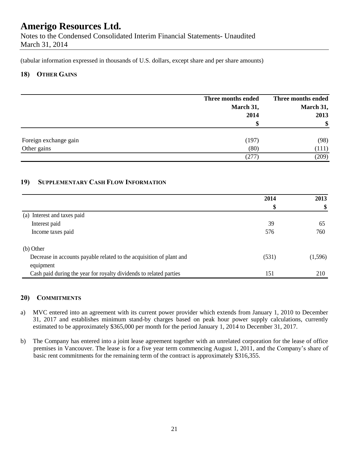Notes to the Condensed Consolidated Interim Financial Statements- Unaudited March 31, 2014

(tabular information expressed in thousands of U.S. dollars, except share and per share amounts)

### **18) OTHER GAINS**

|                       | Three months ended | Three months ended |
|-----------------------|--------------------|--------------------|
|                       | March 31,          | March 31,          |
|                       | 2014               | 2013               |
|                       | D                  | \$                 |
| Foreign exchange gain | (197)              | (98)               |
| Other gains           | (80)               | (111)              |
|                       | (277)              | (209)              |

## **19) SUPPLEMENTARY CASH FLOW INFORMATION**

|                                                                      | 2014  | 2013     |
|----------------------------------------------------------------------|-------|----------|
|                                                                      | \$    | \$       |
| Interest and taxes paid<br>(a)                                       |       |          |
| Interest paid                                                        | 39    | 65       |
| Income taxes paid                                                    | 576   | 760      |
| (b) Other                                                            |       |          |
| Decrease in accounts payable related to the acquisition of plant and | (531) | (1, 596) |
| equipment                                                            |       |          |
| Cash paid during the year for royalty dividends to related parties   | 151   | 210      |

### **20) COMMITMENTS**

- a) MVC entered into an agreement with its current power provider which extends from January 1, 2010 to December 31, 2017 and establishes minimum stand-by charges based on peak hour power supply calculations, currently estimated to be approximately \$365,000 per month for the period January 1, 2014 to December 31, 2017.
- b) The Company has entered into a joint lease agreement together with an unrelated corporation for the lease of office premises in Vancouver. The lease is for a five year term commencing August 1, 2011, and the Company's share of basic rent commitments for the remaining term of the contract is approximately \$316,355.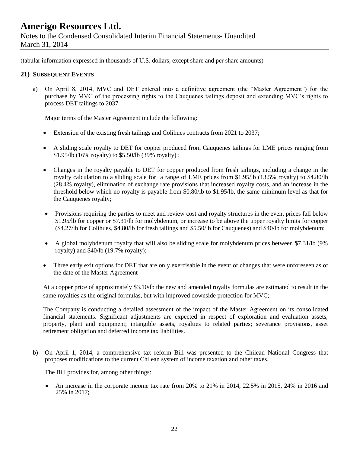Notes to the Condensed Consolidated Interim Financial Statements- Unaudited March 31, 2014

(tabular information expressed in thousands of U.S. dollars, except share and per share amounts)

### **21) SUBSEQUENT EVENTS**

a) On April 8, 2014, MVC and DET entered into a definitive agreement (the "Master Agreement") for the purchase by MVC of the processing rights to the Cauquenes tailings deposit and extending MVC's rights to process DET tailings to 2037.

Major terms of the Master Agreement include the following:

- Extension of the existing fresh tailings and Colihues contracts from 2021 to 2037;
- A sliding scale royalty to DET for copper produced from Cauquenes tailings for LME prices ranging from \$1.95/lb (16% royalty) to \$5.50/lb (39% royalty) ;
- Changes in the royalty payable to DET for copper produced from fresh tailings, including a change in the royalty calculation to a sliding scale for a range of LME prices from \$1.95/lb (13.5% royalty) to \$4.80/lb (28.4% royalty), elimination of exchange rate provisions that increased royalty costs, and an increase in the threshold below which no royalty is payable from \$0.80/lb to \$1.95/lb, the same minimum level as that for the Cauquenes royalty;
- Provisions requiring the parties to meet and review cost and royalty structures in the event prices fall below \$1.95/lb for copper or \$7.31/lb for molybdenum, or increase to be above the upper royalty limits for copper (\$4.27/lb for Colihues, \$4.80/lb for fresh tailings and \$5.50/lb for Cauquenes) and \$40/lb for molybdenum;
- A global molybdenum royalty that will also be sliding scale for molybdenum prices between \$7.31/lb (9% royalty) and \$40/lb (19.7% royalty);
- Three early exit options for DET that are only exercisable in the event of changes that were unforeseen as of the date of the Master Agreement

At a copper price of approximately \$3.10/lb the new and amended royalty formulas are estimated to result in the same royalties as the original formulas, but with improved downside protection for MVC;

The Company is conducting a detailed assessment of the impact of the Master Agreement on its consolidated financial statements. Significant adjustments are expected in respect of exploration and evaluation assets; property, plant and equipment; intangible assets, royalties to related parties; severance provisions, asset retirement obligation and deferred income tax liabilities.

b) On April 1, 2014, a comprehensive tax reform Bill was presented to the Chilean National Congress that proposes modifications to the current Chilean system of income taxation and other taxes.

The Bill provides for, among other things:

 An increase in the corporate income tax rate from 20% to 21% in 2014, 22.5% in 2015, 24% in 2016 and 25% in 2017;